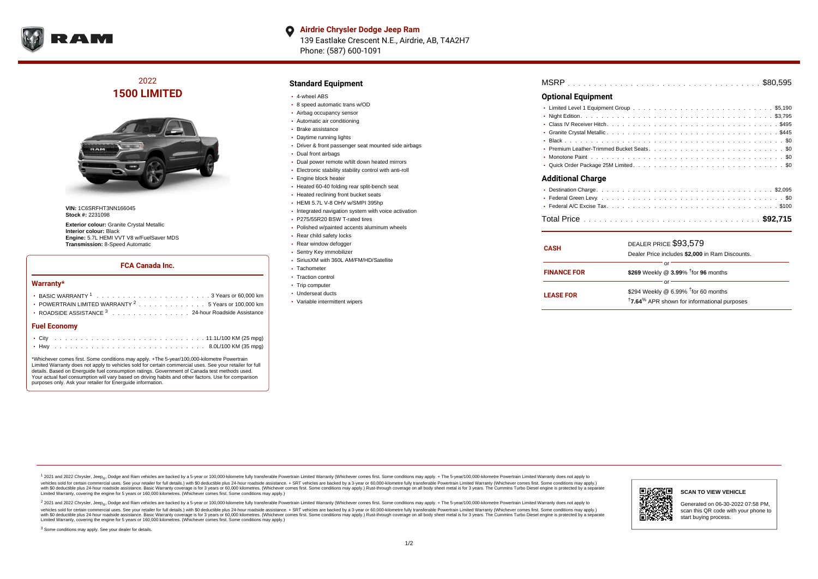

**Airdrie Chrysler Dodge Jeep Ram**  $\bullet$ 139 Eastlake Crescent N.E., Airdrie, AB, T4A2H7 Phone: (587) 600-1091

2022 **1500 LIMITED**



**VIN:** 1C6SRFHT3NN166045 **Stock #:** 2231098

**Exterior colour:** Granite Crystal Metallic **Interior colour:** Black **Engine:** 5.7L HEMI VVT V8 w/FuelSaver MDS **Transmission:** 8-Speed Automatic

### **FCA Canada Inc.**

#### **Warranty\***

| Fuel Fconomy                                                     |
|------------------------------------------------------------------|
| ROADSIDE ASSISTANCE 3 24-hour Roadside Assistance                |
| • POWERTRAIN LIMITED WARRANTY <sup>2</sup> 5 Years or 100,000 km |
|                                                                  |

#### **Fuel Economy**

\*Whichever comes first. Some conditions may apply. +The 5-year/100,000-kilometre Powertrain Limited Warranty does not apply to vehicles sold for certain commercial uses. See your retailer for full details. Based on Energuide fuel consumption ratings. Government of Canada test methods used. Your actual fuel consumption will vary based on driving habits and other factors. Use for comparison purposes only. Ask your retailer for Energuide information.

## **Standard Equipment**

- 4-wheel ABS
- 8 speed automatic trans w/OD
- Airbag occupancy sensor
- Automatic air conditioning
- Brake assistance
- Daytime running lights
- Driver & front passenger seat mounted side airbags
- Dual front airbags
- Dual power remote w/tilt down heated mirrors
- Electronic stability stability control with anti-roll
- **Engine block heater**
- Heated 60-40 folding rear split-bench seat
- Heated reclining front bucket seats
- HEMI 5.7L V-8 OHV w/SMPI 395hp
- Integrated navigation system with voice activation
- P275/55R20 BSW T-rated tires
- Polished w/painted accents aluminum wheels
- Rear child safety locks
- Rear window defogger
- Sentry Key immobilizer
- SiriusXM with 360L AM/FM/HD/Satellite
- Tachometer
- Traction control
- Trip computer
- Underseat ducts
- Variable intermittent wipers

| <b>MSRP</b> |  |  |  |  |  |  |  |  |  |  |  |  |  |  |  |  |  |  |  |  |  |  |  |  |  |  |  |  |  |  |  |  |  |  |  |  |  |  |  |  |  |
|-------------|--|--|--|--|--|--|--|--|--|--|--|--|--|--|--|--|--|--|--|--|--|--|--|--|--|--|--|--|--|--|--|--|--|--|--|--|--|--|--|--|--|
|-------------|--|--|--|--|--|--|--|--|--|--|--|--|--|--|--|--|--|--|--|--|--|--|--|--|--|--|--|--|--|--|--|--|--|--|--|--|--|--|--|--|--|

#### **Optional Equipment**

| <b>Additional Charge</b> |
|--------------------------|
|                          |
|                          |
|                          |

| <b>CASH</b>        | DEALER PRICE \$93,579<br>Dealer Price includes \$2,000 in Ram Discounts.                                                  |  |  |  |  |  |  |  |  |  |  |
|--------------------|---------------------------------------------------------------------------------------------------------------------------|--|--|--|--|--|--|--|--|--|--|
| <b>FINANCE FOR</b> | \$269 Weekly @ 3.99% <sup>t</sup> for 96 months                                                                           |  |  |  |  |  |  |  |  |  |  |
| <b>LEASE FOR</b>   | \$294 Weekly @ $6.99\%$ <sup>†</sup> for 60 months<br><sup>†</sup> 7.64 <sup>%</sup> APR shown for informational purposes |  |  |  |  |  |  |  |  |  |  |

1 2021 and 2022 Chrysler, Jeep<sub>er</sub>, Dodge and Ram vehicles are backed by a 5-year or 100,000-kilometre fully transferable Powertrain Limited Warranty (Whichever comes first. Some conditions may apply. + The 5-year/100,000vehicles sold for certain commercial uses. See your retailer for full details.) with \$0 deductible plus 24-hour roadside assistance. + SRT vehicles are backed by a 3-year or 60,000-kilometre fully transferable Powertrain L versus and contract the mean of the contract of the contract with a contract with a contract the contract of the search of the contract and a control of the contract and contract and control of the search of the search of Limited Warranty, covering the engine for 5 years or 160,000 kilometres. (Whichever comes first. Some conditions may apply.)

<sup>2</sup> 2021 and 2022 Chrysler, Jeep<sub>®</sub>, Dodge and Ram vehicles are backed by a 5-year or 100,000-kilometre fully transferable Powertrain Limited Warranty (Whichever comes first. Some conditions may apply. + The 5-year/100,000 vehicles sold for certain commercial uses. See your retailer for full details.) with SO deductible plus 24-hour roadside assistance. + SRT vehicles are backed by a 3-year or 60.000-kilometre fully transferable Powertrain L with S0 deductible plus 24-hour roadside assistance. Basic Warranty coverage is for 3 years or 60,000 kilometres. (Whichever comes first. Some conditions may apply.) Rust-through coverage on all body sheet metal is for 3 y



#### **SCAN TO VIEW VEHICLE**

Generated on 06-30-2022 07:58 PM, scan this QR code with your phone to start buying process.

<sup>3</sup> Some conditions may apply. See your dealer for details.